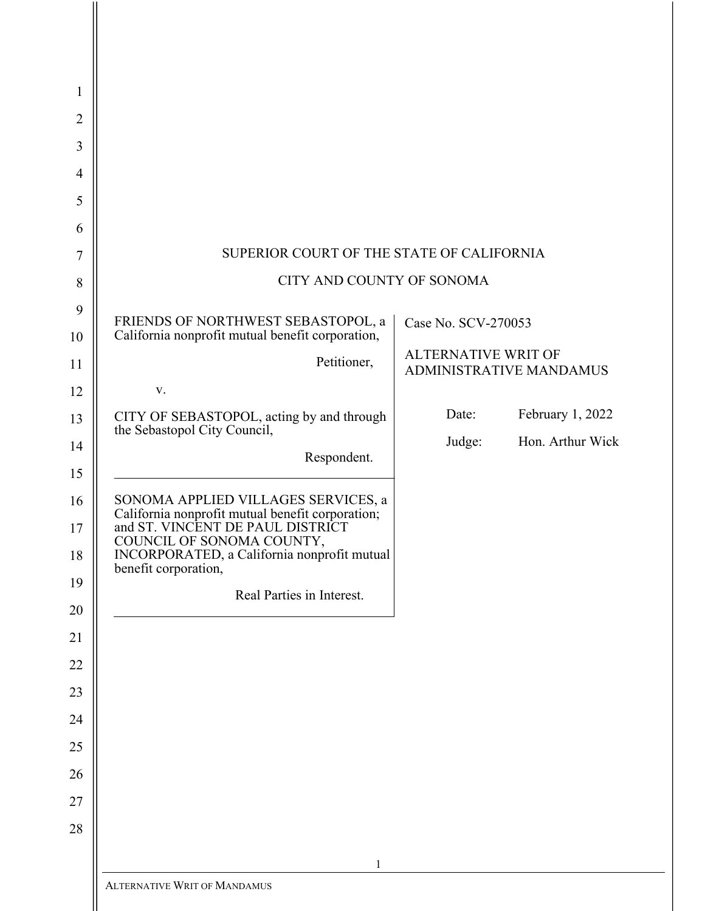| 1              |                                                                                         |                                                       |                  |
|----------------|-----------------------------------------------------------------------------------------|-------------------------------------------------------|------------------|
| $\overline{2}$ |                                                                                         |                                                       |                  |
| 3              |                                                                                         |                                                       |                  |
| 4              |                                                                                         |                                                       |                  |
| 5              |                                                                                         |                                                       |                  |
| 6              |                                                                                         |                                                       |                  |
| 7              | SUPERIOR COURT OF THE STATE OF CALIFORNIA                                               |                                                       |                  |
| 8              | CITY AND COUNTY OF SONOMA                                                               |                                                       |                  |
| 9              | FRIENDS OF NORTHWEST SEBASTOPOL, a                                                      |                                                       |                  |
| 10             | California nonprofit mutual benefit corporation,                                        | Case No. SCV-270053                                   |                  |
| 11             | Petitioner,                                                                             | <b>ALTERNATIVE WRIT OF</b><br>ADMINISTRATIVE MANDAMUS |                  |
| 12             | ${\bf V}$ .                                                                             |                                                       |                  |
| 13             | CITY OF SEBASTOPOL, acting by and through<br>the Sebastopol City Council,               | Date:                                                 | February 1, 2022 |
| 14             | Respondent.                                                                             | Judge:                                                | Hon. Arthur Wick |
| 15             |                                                                                         |                                                       |                  |
| 16             | SONOMA APPLIED VILLAGES SERVICES, a<br>California nonprofit mutual benefit corporation; |                                                       |                  |
| 17             | and ST. VINCENT DE PAUL DISTRICT<br>COUNCIL OF SONOMA COUNTY,                           |                                                       |                  |
| 18             | INCORPORATED, a California nonprofit mutual<br>benefit corporation,                     |                                                       |                  |
| 19             | Real Parties in Interest.                                                               |                                                       |                  |
| 20             |                                                                                         |                                                       |                  |
| 21             |                                                                                         |                                                       |                  |
| 22             |                                                                                         |                                                       |                  |
| 23             |                                                                                         |                                                       |                  |
| 24             |                                                                                         |                                                       |                  |
| 25             |                                                                                         |                                                       |                  |
| 26             |                                                                                         |                                                       |                  |
| 27             |                                                                                         |                                                       |                  |
| 28             |                                                                                         |                                                       |                  |
|                | 1                                                                                       |                                                       |                  |
|                | ALTERNATIVE WRIT OF MANDAMUS                                                            |                                                       |                  |
|                |                                                                                         |                                                       |                  |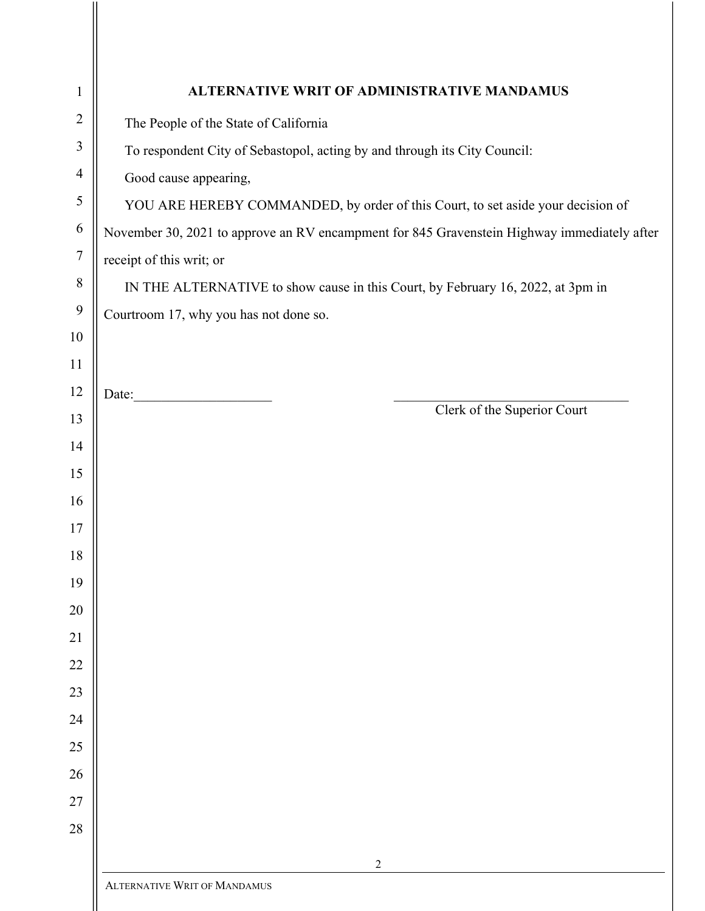| $\mathbf{1}$     | ALTERNATIVE WRIT OF ADMINISTRATIVE MANDAMUS                                                 |  |  |
|------------------|---------------------------------------------------------------------------------------------|--|--|
| $\overline{2}$   | The People of the State of California                                                       |  |  |
| 3                | To respondent City of Sebastopol, acting by and through its City Council:                   |  |  |
| $\overline{4}$   | Good cause appearing,                                                                       |  |  |
| 5                | YOU ARE HEREBY COMMANDED, by order of this Court, to set aside your decision of             |  |  |
| 6                | November 30, 2021 to approve an RV encampment for 845 Gravenstein Highway immediately after |  |  |
| $\boldsymbol{7}$ | receipt of this writ; or                                                                    |  |  |
| $8\,$            | IN THE ALTERNATIVE to show cause in this Court, by February 16, 2022, at 3pm in             |  |  |
| $\boldsymbol{9}$ | Courtroom 17, why you has not done so.                                                      |  |  |
| 10               |                                                                                             |  |  |
| 11               |                                                                                             |  |  |
| 12               |                                                                                             |  |  |
| 13               | Clerk of the Superior Court                                                                 |  |  |
| 14               |                                                                                             |  |  |
| 15               |                                                                                             |  |  |
| 16               |                                                                                             |  |  |
| 17               |                                                                                             |  |  |
| 18               |                                                                                             |  |  |
| 19               |                                                                                             |  |  |
| 20               |                                                                                             |  |  |
| 21               |                                                                                             |  |  |
| 22               |                                                                                             |  |  |
| 23               |                                                                                             |  |  |
| 24               |                                                                                             |  |  |
| 25               |                                                                                             |  |  |
| 26               |                                                                                             |  |  |
| 27               |                                                                                             |  |  |
| 28               |                                                                                             |  |  |
|                  | 2                                                                                           |  |  |
|                  | <b>ALTERNATIVE WRIT OF MANDAMUS</b>                                                         |  |  |